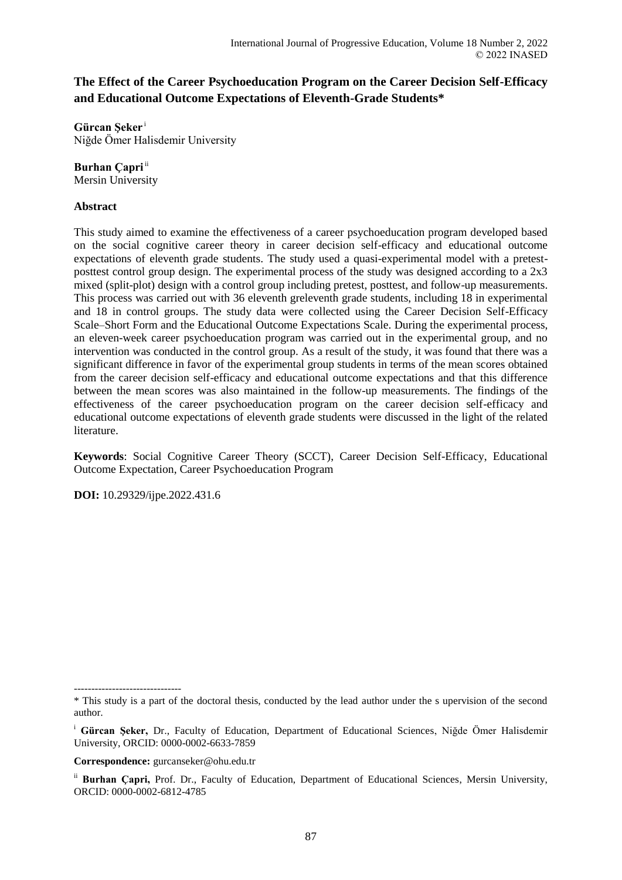# **The Effect of the Career Psychoeducation Program on the Career Decision Self-Efficacy and Educational Outcome Expectations of Eleventh-Grade Students\***

**Gürcan Şeker** <sup>i</sup> Niğde Ömer Halisdemir University

**Burhan Capri**<sup>ii</sup>

Mersin University

# **Abstract**

This study aimed to examine the effectiveness of a career psychoeducation program developed based on the social cognitive career theory in career decision self-efficacy and educational outcome expectations of eleventh grade students. The study used a quasi-experimental model with a pretestposttest control group design. The experimental process of the study was designed according to a 2x3 mixed (split-plot) design with a control group including pretest, posttest, and follow-up measurements. This process was carried out with 36 eleventh greleventh grade students, including 18 in experimental and 18 in control groups. The study data were collected using the Career Decision Self-Efficacy Scale–Short Form and the Educational Outcome Expectations Scale. During the experimental process, an eleven-week career psychoeducation program was carried out in the experimental group, and no intervention was conducted in the control group. As a result of the study, it was found that there was a significant difference in favor of the experimental group students in terms of the mean scores obtained from the career decision self-efficacy and educational outcome expectations and that this difference between the mean scores was also maintained in the follow-up measurements. The findings of the effectiveness of the career psychoeducation program on the career decision self-efficacy and educational outcome expectations of eleventh grade students were discussed in the light of the related literature.

**Keywords**: Social Cognitive Career Theory (SCCT), Career Decision Self-Efficacy, Educational Outcome Expectation, Career Psychoeducation Program

**DOI:** 10.29329/ijpe.2022.431.6

**Correspondence:** gurcanseker@ohu.edu.tr

<sup>-------------------------------</sup> \* This study is a part of the doctoral thesis, conducted by the lead author under the s upervision of the second author.

<sup>i</sup> **Gürcan Şeker,** Dr., Faculty of Education, Department of Educational Sciences, Niğde Ömer Halisdemir University, ORCID: 0000-0002-6633-7859

ii **Burhan Çapri,** Prof. Dr., Faculty of Education, Department of Educational Sciences, Mersin University, ORCID: 0000-0002-6812-4785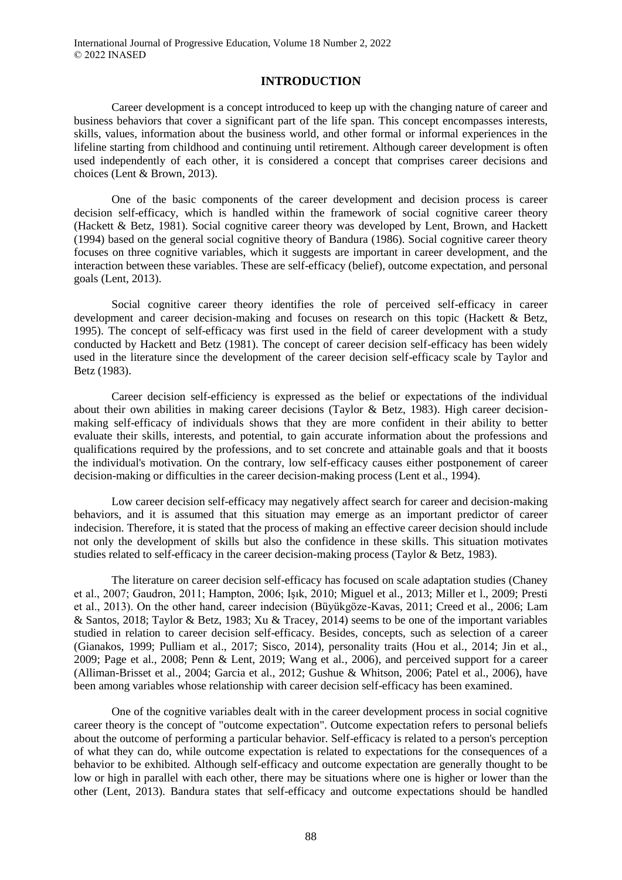### **INTRODUCTION**

Career development is a concept introduced to keep up with the changing nature of career and business behaviors that cover a significant part of the life span. This concept encompasses interests, skills, values, information about the business world, and other formal or informal experiences in the lifeline starting from childhood and continuing until retirement. Although career development is often used independently of each other, it is considered a concept that comprises career decisions and choices (Lent & Brown, 2013).

One of the basic components of the career development and decision process is career decision self-efficacy, which is handled within the framework of social cognitive career theory (Hackett & Betz, 1981). Social cognitive career theory was developed by Lent, Brown, and Hackett (1994) based on the general social cognitive theory of Bandura (1986). Social cognitive career theory focuses on three cognitive variables, which it suggests are important in career development, and the interaction between these variables. These are self-efficacy (belief), outcome expectation, and personal goals (Lent, 2013).

Social cognitive career theory identifies the role of perceived self-efficacy in career development and career decision-making and focuses on research on this topic (Hackett & Betz, 1995). The concept of self-efficacy was first used in the field of career development with a study conducted by Hackett and Betz (1981). The concept of career decision self-efficacy has been widely used in the literature since the development of the career decision self-efficacy scale by Taylor and Betz (1983).

Career decision self-efficiency is expressed as the belief or expectations of the individual about their own abilities in making career decisions (Taylor & Betz, 1983). High career decisionmaking self-efficacy of individuals shows that they are more confident in their ability to better evaluate their skills, interests, and potential, to gain accurate information about the professions and qualifications required by the professions, and to set concrete and attainable goals and that it boosts the individual's motivation. On the contrary, low self-efficacy causes either postponement of career decision-making or difficulties in the career decision-making process (Lent et al., 1994).

Low career decision self-efficacy may negatively affect search for career and decision-making behaviors, and it is assumed that this situation may emerge as an important predictor of career indecision. Therefore, it is stated that the process of making an effective career decision should include not only the development of skills but also the confidence in these skills. This situation motivates studies related to self-efficacy in the career decision-making process (Taylor & Betz, 1983).

The literature on career decision self-efficacy has focused on scale adaptation studies (Chaney et al., 2007; Gaudron, 2011; Hampton, 2006; Işık, 2010; Miguel et al., 2013; Miller et l., 2009; Presti et al., 2013). On the other hand, career indecision (Büyükgöze-Kavas, 2011; Creed et al., 2006; Lam & Santos, 2018; Taylor & Betz, 1983; Xu & Tracey, 2014) seems to be one of the important variables studied in relation to career decision self-efficacy. Besides, concepts, such as selection of a career (Gianakos, 1999; Pulliam et al., 2017; Sisco, 2014), personality traits (Hou et al., 2014; Jin et al., 2009; Page et al., 2008; Penn & Lent, 2019; Wang et al., 2006), and perceived support for a career (Alliman-Brisset et al., 2004; Garcia et al., 2012; Gushue & Whitson, 2006; Patel et al., 2006), have been among variables whose relationship with career decision self-efficacy has been examined.

One of the cognitive variables dealt with in the career development process in social cognitive career theory is the concept of "outcome expectation". Outcome expectation refers to personal beliefs about the outcome of performing a particular behavior. Self-efficacy is related to a person's perception of what they can do, while outcome expectation is related to expectations for the consequences of a behavior to be exhibited. Although self-efficacy and outcome expectation are generally thought to be low or high in parallel with each other, there may be situations where one is higher or lower than the other (Lent, 2013). Bandura states that self-efficacy and outcome expectations should be handled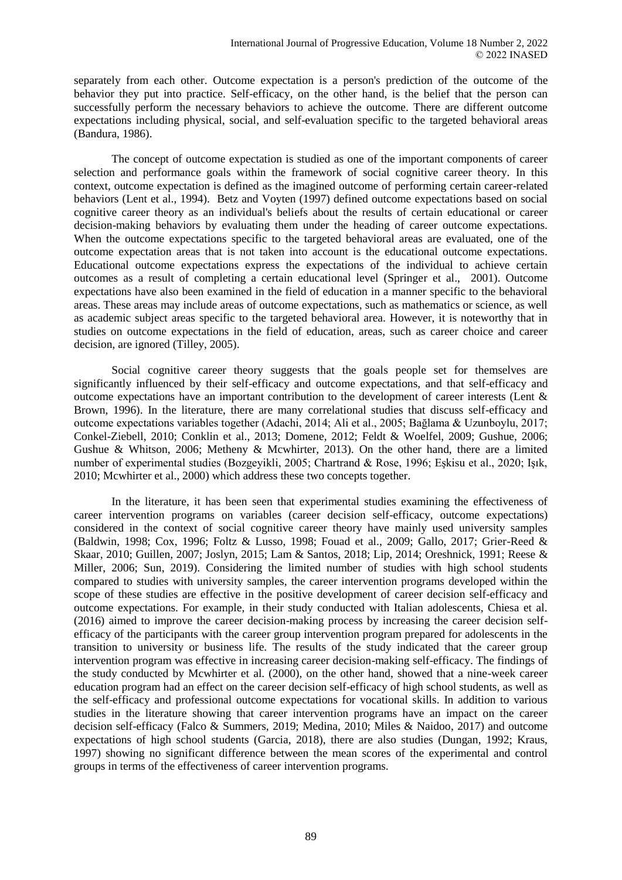separately from each other. Outcome expectation is a person's prediction of the outcome of the behavior they put into practice. Self-efficacy, on the other hand, is the belief that the person can successfully perform the necessary behaviors to achieve the outcome. There are different outcome expectations including physical, social, and self-evaluation specific to the targeted behavioral areas (Bandura, 1986).

The concept of outcome expectation is studied as one of the important components of career selection and performance goals within the framework of social cognitive career theory. In this context, outcome expectation is defined as the imagined outcome of performing certain career-related behaviors (Lent et al., 1994). Betz and Voyten (1997) defined outcome expectations based on social cognitive career theory as an individual's beliefs about the results of certain educational or career decision-making behaviors by evaluating them under the heading of career outcome expectations. When the outcome expectations specific to the targeted behavioral areas are evaluated, one of the outcome expectation areas that is not taken into account is the educational outcome expectations. Educational outcome expectations express the expectations of the individual to achieve certain outcomes as a result of completing a certain educational level (Springer et al., 2001). Outcome expectations have also been examined in the field of education in a manner specific to the behavioral areas. These areas may include areas of outcome expectations, such as mathematics or science, as well as academic subject areas specific to the targeted behavioral area. However, it is noteworthy that in studies on outcome expectations in the field of education, areas, such as career choice and career decision, are ignored (Tilley, 2005).

Social cognitive career theory suggests that the goals people set for themselves are significantly influenced by their self-efficacy and outcome expectations, and that self-efficacy and outcome expectations have an important contribution to the development of career interests (Lent & Brown, 1996). In the literature, there are many correlational studies that discuss self-efficacy and outcome expectations variables together (Adachi, 2014; Ali et al., 2005; Bağlama & Uzunboylu, 2017; Conkel-Ziebell, 2010; Conklin et al., 2013; Domene, 2012; Feldt & Woelfel, 2009; Gushue, 2006; Gushue & Whitson, 2006; Metheny & Mcwhirter, 2013). On the other hand, there are a limited number of experimental studies (Bozgeyikli, 2005; Chartrand & Rose, 1996; Eşkisu et al., 2020; Işık, 2010; Mcwhirter et al., 2000) which address these two concepts together.

In the literature, it has been seen that experimental studies examining the effectiveness of career intervention programs on variables (career decision self-efficacy, outcome expectations) considered in the context of social cognitive career theory have mainly used university samples (Baldwin, 1998; Cox, 1996; Foltz & Lusso, 1998; Fouad et al., 2009; Gallo, 2017; Grier-Reed & Skaar, 2010; Guillen, 2007; Joslyn, 2015; Lam & Santos, 2018; Lip, 2014; Oreshnick, 1991; Reese & Miller, 2006; Sun, 2019). Considering the limited number of studies with high school students compared to studies with university samples, the career intervention programs developed within the scope of these studies are effective in the positive development of career decision self-efficacy and outcome expectations. For example, in their study conducted with Italian adolescents, Chiesa et al. (2016) aimed to improve the career decision-making process by increasing the career decision selfefficacy of the participants with the career group intervention program prepared for adolescents in the transition to university or business life. The results of the study indicated that the career group intervention program was effective in increasing career decision-making self-efficacy. The findings of the study conducted by Mcwhirter et al. (2000), on the other hand, showed that a nine-week career education program had an effect on the career decision self-efficacy of high school students, as well as the self-efficacy and professional outcome expectations for vocational skills. In addition to various studies in the literature showing that career intervention programs have an impact on the career decision self-efficacy (Falco & Summers, 2019; Medina, 2010; Miles & Naidoo, 2017) and outcome expectations of high school students (Garcia, 2018), there are also studies (Dungan, 1992; Kraus, 1997) showing no significant difference between the mean scores of the experimental and control groups in terms of the effectiveness of career intervention programs.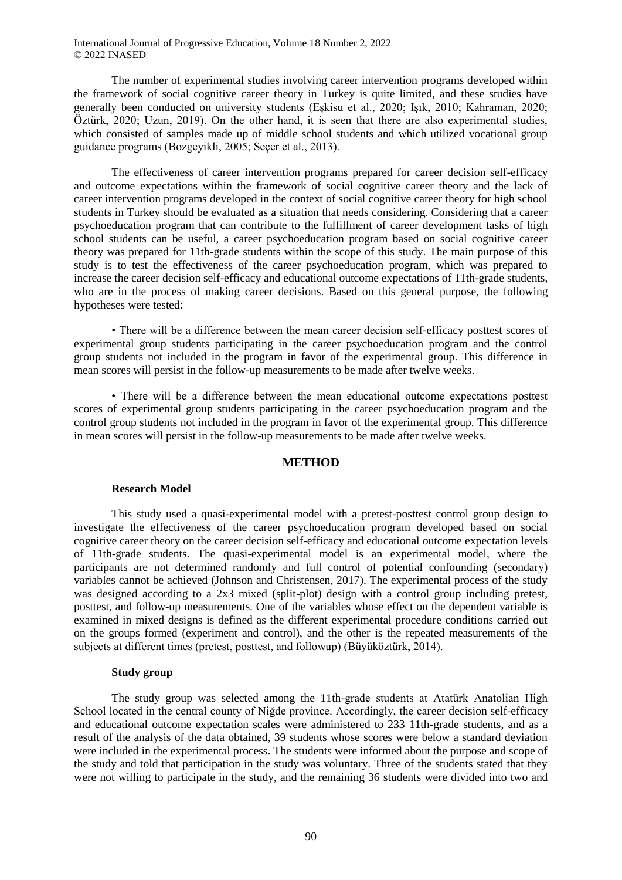The number of experimental studies involving career intervention programs developed within the framework of social cognitive career theory in Turkey is quite limited, and these studies have generally been conducted on university students (Eşkisu et al., 2020; Işık, 2010; Kahraman, 2020; Öztürk, 2020; Uzun, 2019). On the other hand, it is seen that there are also experimental studies, which consisted of samples made up of middle school students and which utilized vocational group guidance programs (Bozgeyikli, 2005; Seçer et al., 2013).

The effectiveness of career intervention programs prepared for career decision self-efficacy and outcome expectations within the framework of social cognitive career theory and the lack of career intervention programs developed in the context of social cognitive career theory for high school students in Turkey should be evaluated as a situation that needs considering. Considering that a career psychoeducation program that can contribute to the fulfillment of career development tasks of high school students can be useful, a career psychoeducation program based on social cognitive career theory was prepared for 11th-grade students within the scope of this study. The main purpose of this study is to test the effectiveness of the career psychoeducation program, which was prepared to increase the career decision self-efficacy and educational outcome expectations of 11th-grade students, who are in the process of making career decisions. Based on this general purpose, the following hypotheses were tested:

• There will be a difference between the mean career decision self-efficacy posttest scores of experimental group students participating in the career psychoeducation program and the control group students not included in the program in favor of the experimental group. This difference in mean scores will persist in the follow-up measurements to be made after twelve weeks.

• There will be a difference between the mean educational outcome expectations posttest scores of experimental group students participating in the career psychoeducation program and the control group students not included in the program in favor of the experimental group. This difference in mean scores will persist in the follow-up measurements to be made after twelve weeks.

#### **METHOD**

#### **Research Model**

This study used a quasi-experimental model with a pretest-posttest control group design to investigate the effectiveness of the career psychoeducation program developed based on social cognitive career theory on the career decision self-efficacy and educational outcome expectation levels of 11th-grade students. The quasi-experimental model is an experimental model, where the participants are not determined randomly and full control of potential confounding (secondary) variables cannot be achieved (Johnson and Christensen, 2017). The experimental process of the study was designed according to a 2x3 mixed (split-plot) design with a control group including pretest, posttest, and follow-up measurements. One of the variables whose effect on the dependent variable is examined in mixed designs is defined as the different experimental procedure conditions carried out on the groups formed (experiment and control), and the other is the repeated measurements of the subjects at different times (pretest, posttest, and followup) (Büyüköztürk, 2014).

#### **Study group**

The study group was selected among the 11th-grade students at Atatürk Anatolian High School located in the central county of Niğde province. Accordingly, the career decision self-efficacy and educational outcome expectation scales were administered to 233 11th-grade students, and as a result of the analysis of the data obtained, 39 students whose scores were below a standard deviation were included in the experimental process. The students were informed about the purpose and scope of the study and told that participation in the study was voluntary. Three of the students stated that they were not willing to participate in the study, and the remaining 36 students were divided into two and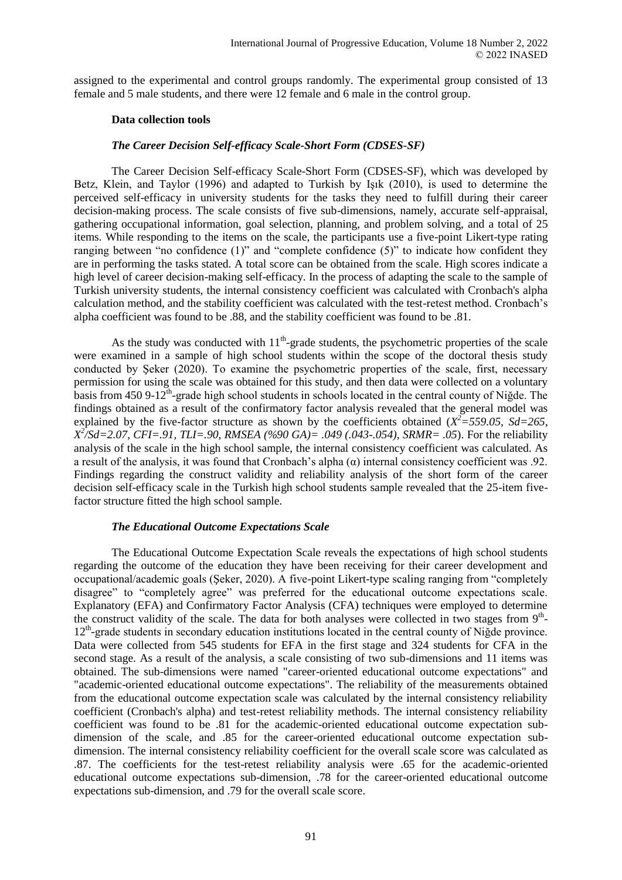assigned to the experimental and control groups randomly. The experimental group consisted of 13 female and 5 male students, and there were 12 female and 6 male in the control group.

### **Data collection tools**

### *The Career Decision Self-efficacy Scale-Short Form (CDSES-SF)*

The Career Decision Self-efficacy Scale-Short Form (CDSES-SF), which was developed by Betz, Klein, and Taylor (1996) and adapted to Turkish by Işık (2010), is used to determine the perceived self-efficacy in university students for the tasks they need to fulfill during their career decision-making process. The scale consists of five sub-dimensions, namely, accurate self-appraisal, gathering occupational information, goal selection, planning, and problem solving, and a total of 25 items. While responding to the items on the scale, the participants use a five-point Likert-type rating ranging between "no confidence (1)" and "complete confidence (5)" to indicate how confident they are in performing the tasks stated. A total score can be obtained from the scale. High scores indicate a high level of career decision-making self-efficacy. In the process of adapting the scale to the sample of Turkish university students, the internal consistency coefficient was calculated with Cronbach's alpha calculation method, and the stability coefficient was calculated with the test-retest method. Cronbach's alpha coefficient was found to be .88, and the stability coefficient was found to be .81.

As the study was conducted with  $11<sup>th</sup>$ -grade students, the psychometric properties of the scale were examined in a sample of high school students within the scope of the doctoral thesis study conducted by Şeker (2020). To examine the psychometric properties of the scale, first, necessary permission for using the scale was obtained for this study, and then data were collected on a voluntary basis from 450 9-12<sup>th</sup>-grade high school students in schools located in the central county of Niğde. The findings obtained as a result of the confirmatory factor analysis revealed that the general model was explained by the five-factor structure as shown by the coefficients obtained  $(X^2 = 559.05, Sd = 265,$  $X^2$ /*Sd*=2.07, *CFI*=.91, *TLI*=.90, *RMSEA* (%90 GA)= .049 (.043-.054), *SRMR*= .05). For the reliability analysis of the scale in the high school sample, the internal consistency coefficient was calculated. As a result of the analysis, it was found that Cronbach's alpha  $(\alpha)$  internal consistency coefficient was .92. Findings regarding the construct validity and reliability analysis of the short form of the career decision self-efficacy scale in the Turkish high school students sample revealed that the 25-item fivefactor structure fitted the high school sample.

### *The Educational Outcome Expectations Scale*

The Educational Outcome Expectation Scale reveals the expectations of high school students regarding the outcome of the education they have been receiving for their career development and occupational/academic goals (Şeker, 2020). A five-point Likert-type scaling ranging from "completely disagree" to "completely agree" was preferred for the educational outcome expectations scale. Explanatory (EFA) and Confirmatory Factor Analysis (CFA) techniques were employed to determine the construct validity of the scale. The data for both analyses were collected in two stages from  $9<sup>th</sup>$ -12<sup>th</sup>-grade students in secondary education institutions located in the central county of Niğde province. Data were collected from 545 students for EFA in the first stage and 324 students for CFA in the second stage. As a result of the analysis, a scale consisting of two sub-dimensions and 11 items was obtained. The sub-dimensions were named "career-oriented educational outcome expectations" and "academic-oriented educational outcome expectations". The reliability of the measurements obtained from the educational outcome expectation scale was calculated by the internal consistency reliability coefficient (Cronbach's alpha) and test-retest reliability methods. The internal consistency reliability coefficient was found to be .81 for the academic-oriented educational outcome expectation subdimension of the scale, and .85 for the career-oriented educational outcome expectation subdimension. The internal consistency reliability coefficient for the overall scale score was calculated as .87. The coefficients for the test-retest reliability analysis were .65 for the academic-oriented educational outcome expectations sub-dimension, .78 for the career-oriented educational outcome expectations sub-dimension, and .79 for the overall scale score.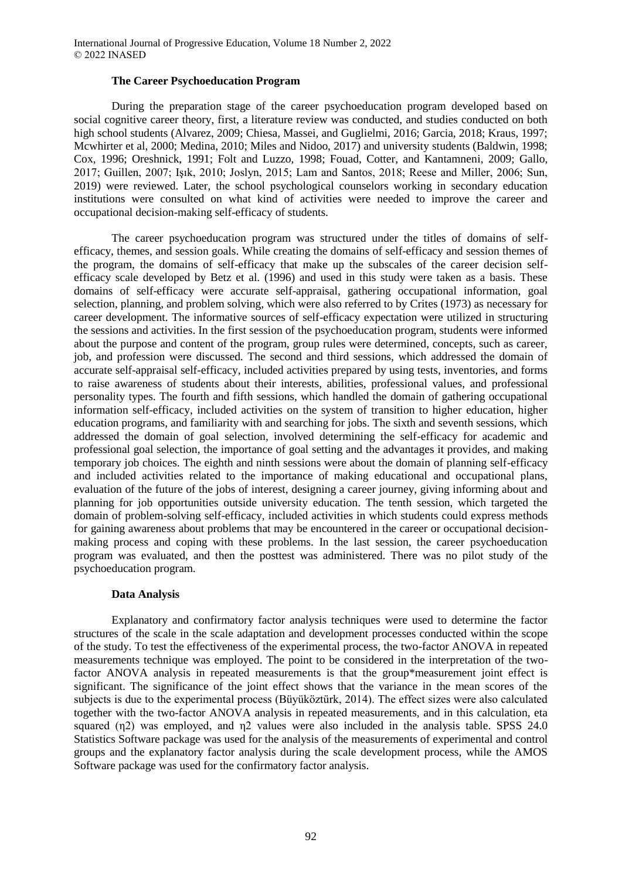#### **The Career Psychoeducation Program**

During the preparation stage of the career psychoeducation program developed based on social cognitive career theory, first, a literature review was conducted, and studies conducted on both high school students (Alvarez, 2009; Chiesa, Massei, and Guglielmi, 2016; Garcia, 2018; Kraus, 1997; Mcwhirter et al, 2000; Medina, 2010; Miles and Nidoo, 2017) and university students (Baldwin, 1998; Cox, 1996; Oreshnick, 1991; Folt and Luzzo, 1998; Fouad, Cotter, and Kantamneni, 2009; Gallo, 2017; Guillen, 2007; Işık, 2010; Joslyn, 2015; Lam and Santos, 2018; Reese and Miller, 2006; Sun, 2019) were reviewed. Later, the school psychological counselors working in secondary education institutions were consulted on what kind of activities were needed to improve the career and occupational decision-making self-efficacy of students.

The career psychoeducation program was structured under the titles of domains of selfefficacy, themes, and session goals. While creating the domains of self-efficacy and session themes of the program, the domains of self-efficacy that make up the subscales of the career decision selfefficacy scale developed by Betz et al. (1996) and used in this study were taken as a basis. These domains of self-efficacy were accurate self-appraisal, gathering occupational information, goal selection, planning, and problem solving, which were also referred to by Crites (1973) as necessary for career development. The informative sources of self-efficacy expectation were utilized in structuring the sessions and activities. In the first session of the psychoeducation program, students were informed about the purpose and content of the program, group rules were determined, concepts, such as career, job, and profession were discussed. The second and third sessions, which addressed the domain of accurate self-appraisal self-efficacy, included activities prepared by using tests, inventories, and forms to raise awareness of students about their interests, abilities, professional values, and professional personality types. The fourth and fifth sessions, which handled the domain of gathering occupational information self-efficacy, included activities on the system of transition to higher education, higher education programs, and familiarity with and searching for jobs. The sixth and seventh sessions, which addressed the domain of goal selection, involved determining the self-efficacy for academic and professional goal selection, the importance of goal setting and the advantages it provides, and making temporary job choices. The eighth and ninth sessions were about the domain of planning self-efficacy and included activities related to the importance of making educational and occupational plans, evaluation of the future of the jobs of interest, designing a career journey, giving informing about and planning for job opportunities outside university education. The tenth session, which targeted the domain of problem-solving self-efficacy, included activities in which students could express methods for gaining awareness about problems that may be encountered in the career or occupational decisionmaking process and coping with these problems. In the last session, the career psychoeducation program was evaluated, and then the posttest was administered. There was no pilot study of the psychoeducation program.

#### **Data Analysis**

Explanatory and confirmatory factor analysis techniques were used to determine the factor structures of the scale in the scale adaptation and development processes conducted within the scope of the study. To test the effectiveness of the experimental process, the two-factor ANOVA in repeated measurements technique was employed. The point to be considered in the interpretation of the twofactor ANOVA analysis in repeated measurements is that the group\*measurement joint effect is significant. The significance of the joint effect shows that the variance in the mean scores of the subjects is due to the experimental process (Büyüköztürk, 2014). The effect sizes were also calculated together with the two-factor ANOVA analysis in repeated measurements, and in this calculation, eta squared (η2) was employed, and η2 values were also included in the analysis table. SPSS 24.0 Statistics Software package was used for the analysis of the measurements of experimental and control groups and the explanatory factor analysis during the scale development process, while the AMOS Software package was used for the confirmatory factor analysis.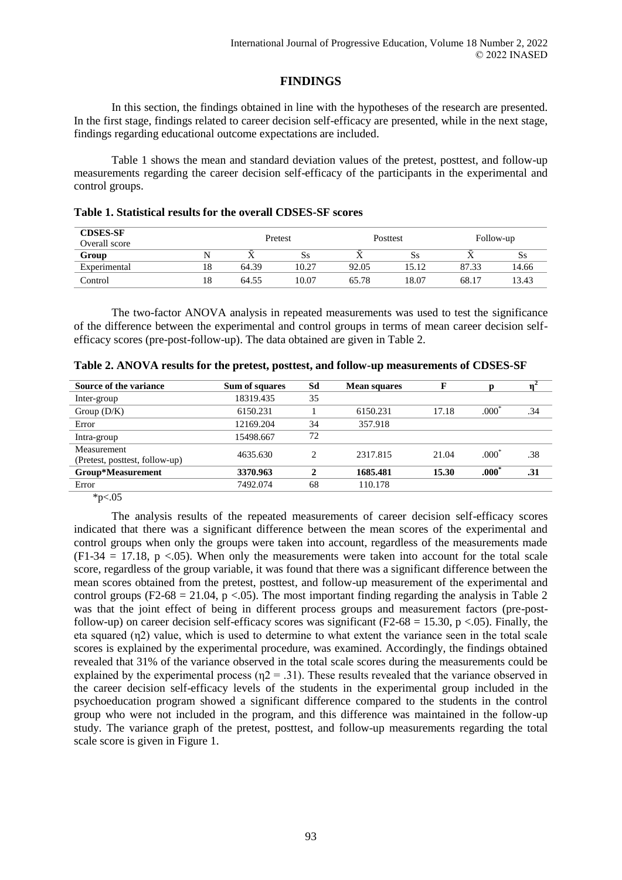# **FINDINGS**

In this section, the findings obtained in line with the hypotheses of the research are presented. In the first stage, findings related to career decision self-efficacy are presented, while in the next stage, findings regarding educational outcome expectations are included.

Table 1 shows the mean and standard deviation values of the pretest, posttest, and follow-up measurements regarding the career decision self-efficacy of the participants in the experimental and control groups.

| Table 1. Statistical results for the overall CDSES-SF scores |  |  |  |  |
|--------------------------------------------------------------|--|--|--|--|
|--------------------------------------------------------------|--|--|--|--|

| <b>CDSES-SF</b><br>Overall score |    | Pretest |       | Posttest |       | Follow-up |       |
|----------------------------------|----|---------|-------|----------|-------|-----------|-------|
| Group                            |    | ∡⊾      | Ss    |          | Ss    |           | ðЯ    |
| Experimental                     | 18 | 64.39   | 10.27 | 92.05    | 15.12 | 87.33     | 14.66 |
| Control                          | 18 | 64.55   | 10.07 | 65.78    | 18.07 | 68.17     | 13.43 |

The two-factor ANOVA analysis in repeated measurements was used to test the significance of the difference between the experimental and control groups in terms of mean career decision selfefficacy scores (pre-post-follow-up). The data obtained are given in Table 2.

|  | Table 2. ANOVA results for the pretest, posttest, and follow-up measurements of CDSES-SF |
|--|------------------------------------------------------------------------------------------|
|--|------------------------------------------------------------------------------------------|

| Sum of squares | Sd | <b>Mean squares</b> | F     |                   |     |
|----------------|----|---------------------|-------|-------------------|-----|
| 18319.435      | 35 |                     |       |                   |     |
| 6150.231       |    | 6150.231            | 17.18 | $.000^{\degree}$  | .34 |
| 12169.204      | 34 | 357.918             |       |                   |     |
| 15498.667      | 72 |                     |       |                   |     |
| 4635.630       | ↑  | 2317.815            | 21.04 | .000 <sup>2</sup> | .38 |
| 3370.963       | J. | 1685.481            | 15.30 | $.000*$           | .31 |
| 7492.074       | 68 | 110.178             |       |                   |     |
|                |    |                     |       |                   |     |

 $*_{p<.05}$ 

The analysis results of the repeated measurements of career decision self-efficacy scores indicated that there was a significant difference between the mean scores of the experimental and control groups when only the groups were taken into account, regardless of the measurements made  $(F1-34 = 17.18, p < 0.05)$ . When only the measurements were taken into account for the total scale score, regardless of the group variable, it was found that there was a significant difference between the mean scores obtained from the pretest, posttest, and follow-up measurement of the experimental and control groups (F2-68 = 21.04, p < 05). The most important finding regarding the analysis in Table 2 was that the joint effect of being in different process groups and measurement factors (pre-postfollow-up) on career decision self-efficacy scores was significant (F2-68 = 15.30, p <.05). Finally, the eta squared (η2) value, which is used to determine to what extent the variance seen in the total scale scores is explained by the experimental procedure, was examined. Accordingly, the findings obtained revealed that 31% of the variance observed in the total scale scores during the measurements could be explained by the experimental process ( $\eta$ 2 = .31). These results revealed that the variance observed in the career decision self-efficacy levels of the students in the experimental group included in the psychoeducation program showed a significant difference compared to the students in the control group who were not included in the program, and this difference was maintained in the follow-up study. The variance graph of the pretest, posttest, and follow-up measurements regarding the total scale score is given in Figure 1.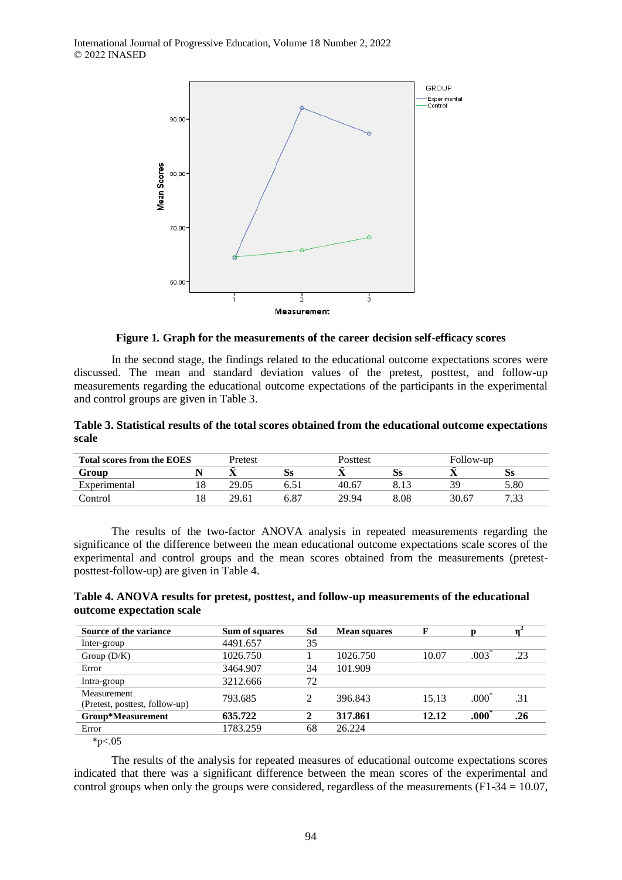

**Figure 1***.* **Graph for the measurements of the career decision self-efficacy scores**

In the second stage, the findings related to the educational outcome expectations scores were discussed. The mean and standard deviation values of the pretest, posttest, and follow-up measurements regarding the educational outcome expectations of the participants in the experimental and control groups are given in Table 3.

**Table 3. Statistical results of the total scores obtained from the educational outcome expectations scale** 

| <b>Total scores from the EOES</b> |    | Pretest |      | Posttest |      |       | Follow-up |  |
|-----------------------------------|----|---------|------|----------|------|-------|-----------|--|
| Group                             |    |         | SS   |          | SS.  |       | SS.       |  |
| Experimental                      | 18 | 29.05   |      | 40.67    |      | ЗG    | 5.80      |  |
| Control                           | 18 | 29.61   | 6.87 | 29.94    | 8.08 | 30.67 | 7.33      |  |

The results of the two-factor ANOVA analysis in repeated measurements regarding the significance of the difference between the mean educational outcome expectations scale scores of the experimental and control groups and the mean scores obtained from the measurements (pretestposttest-follow-up) are given in Table 4.

| Table 4. ANOVA results for pretest, posttest, and follow-up measurements of the educational |  |
|---------------------------------------------------------------------------------------------|--|
| outcome expectation scale                                                                   |  |

| Source of the variance         | Sum of squares | Sd | <b>Mean squares</b> | F     |                   |     |
|--------------------------------|----------------|----|---------------------|-------|-------------------|-----|
| Inter-group                    | 4491.657       | 35 |                     |       |                   |     |
| Group $(D/K)$                  | 1026.750       |    | 1026.750            | 10.07 | .003              | .23 |
| Error                          | 3464.907       | 34 | 101.909             |       |                   |     |
| Intra-group                    | 3212.666       | 72 |                     |       |                   |     |
| Measurement                    | 793.685        |    | 396.843             | 15.13 | .000 <sup>°</sup> | .31 |
| (Pretest, posttest, follow-up) |                |    |                     |       |                   |     |
| Group*Measurement              | 635.722        |    | 317.861             | 12.12 | $.000\degree$     | .26 |
| Error                          | 1783.259       | 68 | 26.224              |       |                   |     |
| $\sim$ $\sim$<br>$-1.7$        |                |    |                     |       |                   |     |

 $*p<.05$ 

The results of the analysis for repeated measures of educational outcome expectations scores indicated that there was a significant difference between the mean scores of the experimental and control groups when only the groups were considered, regardless of the measurements ( $F1-34 = 10.07$ ,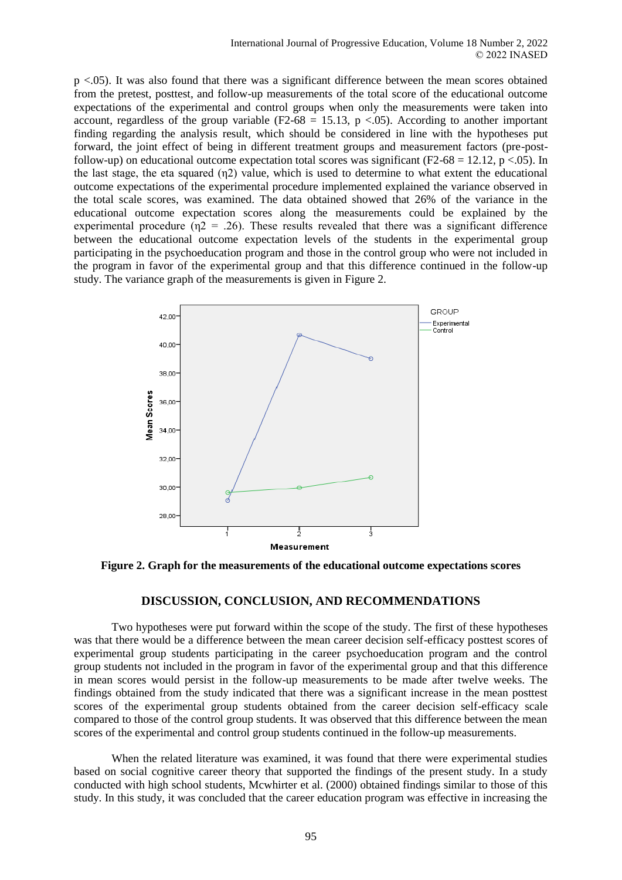p <.05). It was also found that there was a significant difference between the mean scores obtained from the pretest, posttest, and follow-up measurements of the total score of the educational outcome expectations of the experimental and control groups when only the measurements were taken into account, regardless of the group variable (F2-68 = 15.13,  $p \lt 0.05$ ). According to another important finding regarding the analysis result, which should be considered in line with the hypotheses put forward, the joint effect of being in different treatment groups and measurement factors (pre-postfollow-up) on educational outcome expectation total scores was significant (F2-68 = 12.12, p <.05). In the last stage, the eta squared (η2) value, which is used to determine to what extent the educational outcome expectations of the experimental procedure implemented explained the variance observed in the total scale scores, was examined. The data obtained showed that 26% of the variance in the educational outcome expectation scores along the measurements could be explained by the experimental procedure ( $n2 = 0.26$ ). These results revealed that there was a significant difference between the educational outcome expectation levels of the students in the experimental group participating in the psychoeducation program and those in the control group who were not included in the program in favor of the experimental group and that this difference continued in the follow-up study. The variance graph of the measurements is given in Figure 2.



**Figure 2. Graph for the measurements of the educational outcome expectations scores**

# **DISCUSSION, CONCLUSION, AND RECOMMENDATIONS**

Two hypotheses were put forward within the scope of the study. The first of these hypotheses was that there would be a difference between the mean career decision self-efficacy posttest scores of experimental group students participating in the career psychoeducation program and the control group students not included in the program in favor of the experimental group and that this difference in mean scores would persist in the follow-up measurements to be made after twelve weeks. The findings obtained from the study indicated that there was a significant increase in the mean posttest scores of the experimental group students obtained from the career decision self-efficacy scale compared to those of the control group students. It was observed that this difference between the mean scores of the experimental and control group students continued in the follow-up measurements.

When the related literature was examined, it was found that there were experimental studies based on social cognitive career theory that supported the findings of the present study. In a study conducted with high school students, Mcwhirter et al. (2000) obtained findings similar to those of this study. In this study, it was concluded that the career education program was effective in increasing the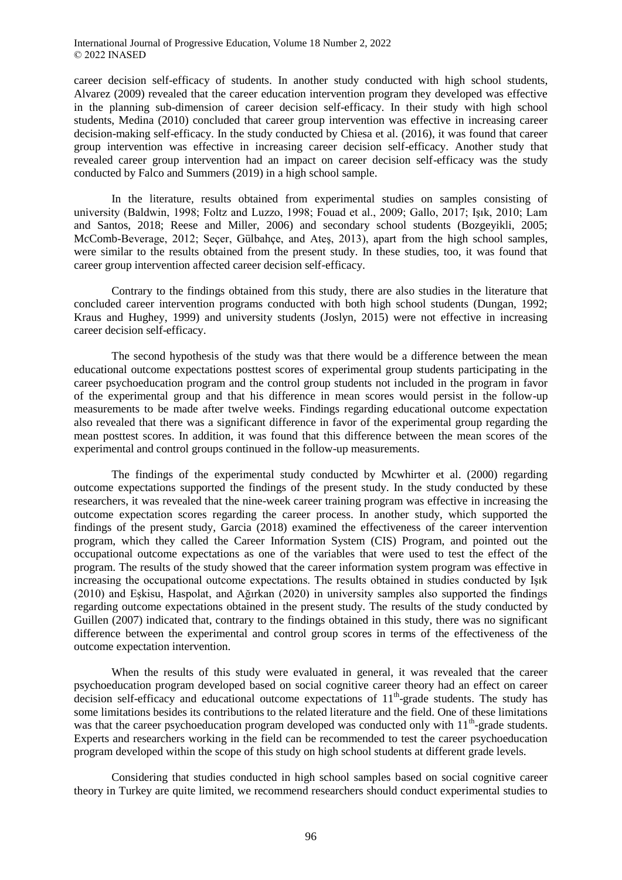career decision self-efficacy of students. In another study conducted with high school students, Alvarez (2009) revealed that the career education intervention program they developed was effective in the planning sub-dimension of career decision self-efficacy. In their study with high school students, Medina (2010) concluded that career group intervention was effective in increasing career decision-making self-efficacy. In the study conducted by Chiesa et al. (2016), it was found that career group intervention was effective in increasing career decision self-efficacy. Another study that revealed career group intervention had an impact on career decision self-efficacy was the study conducted by Falco and Summers (2019) in a high school sample.

In the literature, results obtained from experimental studies on samples consisting of university (Baldwin, 1998; Foltz and Luzzo, 1998; Fouad et al., 2009; Gallo, 2017; Işık, 2010; Lam and Santos, 2018; Reese and Miller, 2006) and secondary school students (Bozgeyikli, 2005; McComb-Beverage, 2012; Seçer, Gülbahçe, and Ateş, 2013), apart from the high school samples, were similar to the results obtained from the present study. In these studies, too, it was found that career group intervention affected career decision self-efficacy.

Contrary to the findings obtained from this study, there are also studies in the literature that concluded career intervention programs conducted with both high school students (Dungan, 1992; Kraus and Hughey, 1999) and university students (Joslyn, 2015) were not effective in increasing career decision self-efficacy.

The second hypothesis of the study was that there would be a difference between the mean educational outcome expectations posttest scores of experimental group students participating in the career psychoeducation program and the control group students not included in the program in favor of the experimental group and that his difference in mean scores would persist in the follow-up measurements to be made after twelve weeks. Findings regarding educational outcome expectation also revealed that there was a significant difference in favor of the experimental group regarding the mean posttest scores. In addition, it was found that this difference between the mean scores of the experimental and control groups continued in the follow-up measurements.

The findings of the experimental study conducted by Mcwhirter et al. (2000) regarding outcome expectations supported the findings of the present study. In the study conducted by these researchers, it was revealed that the nine-week career training program was effective in increasing the outcome expectation scores regarding the career process. In another study, which supported the findings of the present study, Garcia (2018) examined the effectiveness of the career intervention program, which they called the Career Information System (CIS) Program, and pointed out the occupational outcome expectations as one of the variables that were used to test the effect of the program. The results of the study showed that the career information system program was effective in increasing the occupational outcome expectations. The results obtained in studies conducted by Işık (2010) and Eşkisu, Haspolat, and Ağırkan (2020) in university samples also supported the findings regarding outcome expectations obtained in the present study. The results of the study conducted by Guillen (2007) indicated that, contrary to the findings obtained in this study, there was no significant difference between the experimental and control group scores in terms of the effectiveness of the outcome expectation intervention.

When the results of this study were evaluated in general, it was revealed that the career psychoeducation program developed based on social cognitive career theory had an effect on career decision self-efficacy and educational outcome expectations of 11<sup>th</sup>-grade students. The study has some limitations besides its contributions to the related literature and the field. One of these limitations was that the career psychoeducation program developed was conducted only with  $11<sup>th</sup>$ -grade students. Experts and researchers working in the field can be recommended to test the career psychoeducation program developed within the scope of this study on high school students at different grade levels.

Considering that studies conducted in high school samples based on social cognitive career theory in Turkey are quite limited, we recommend researchers should conduct experimental studies to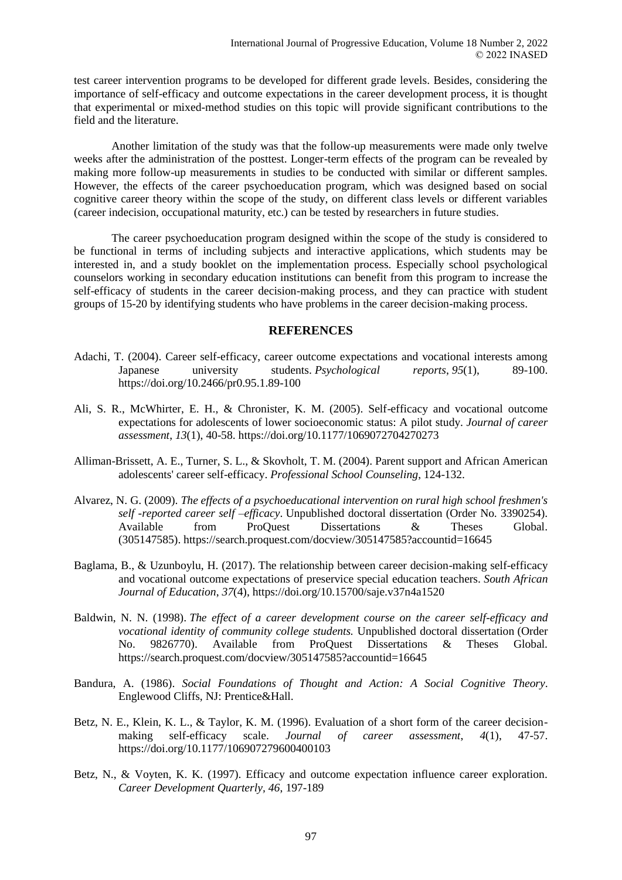test career intervention programs to be developed for different grade levels. Besides, considering the importance of self-efficacy and outcome expectations in the career development process, it is thought that experimental or mixed-method studies on this topic will provide significant contributions to the field and the literature.

Another limitation of the study was that the follow-up measurements were made only twelve weeks after the administration of the posttest. Longer-term effects of the program can be revealed by making more follow-up measurements in studies to be conducted with similar or different samples. However, the effects of the career psychoeducation program, which was designed based on social cognitive career theory within the scope of the study, on different class levels or different variables (career indecision, occupational maturity, etc.) can be tested by researchers in future studies.

The career psychoeducation program designed within the scope of the study is considered to be functional in terms of including subjects and interactive applications, which students may be interested in, and a study booklet on the implementation process. Especially school psychological counselors working in secondary education institutions can benefit from this program to increase the self-efficacy of students in the career decision-making process, and they can practice with student groups of 15-20 by identifying students who have problems in the career decision-making process.

### **REFERENCES**

- Adachi, T. (2004). Career self-efficacy, career outcome expectations and vocational interests among Japanese university students. *Psychological reports*, *95*(1), 89-100. https://doi.org/10.2466/pr0.95.1.89-100
- Ali, S. R., McWhirter, E. H., & Chronister, K. M. (2005). Self-efficacy and vocational outcome expectations for adolescents of lower socioeconomic status: A pilot study. *Journal of career assessment*, *13*(1), 40-58. https://doi.org/10.1177/1069072704270273
- Alliman-Brissett, A. E., Turner, S. L., & Skovholt, T. M. (2004). Parent support and African American adolescents' career self-efficacy. *Professional School Counseling*, 124-132.
- Alvarez, N. G. (2009). *The effects of a psychoeducational intervention on rural high school freshmen's self -reported career self –efficacy*. Unpublished doctoral dissertation (Order No. 3390254). Available from ProQuest Dissertations & Theses Global. (305147585). https://search.proquest.com/docview/305147585?accountid=16645
- Baglama, B., & Uzunboylu, H. (2017). The relationship between career decision-making self-efficacy and vocational outcome expectations of preservice special education teachers. *South African Journal of Education*, *37*(4), https://doi.org[/10.15700/saje.v37n4a1520](https://doi.org/10.15700/saje.v37n4a1520)
- Baldwin, N. N. (1998). *The effect of a career development course on the career self-efficacy and vocational identity of community college students.* Unpublished doctoral dissertation (Order No. 9826770). Available from ProQuest Dissertations & Theses Global. https://search.proquest.com/docview/305147585?accountid=16645
- Bandura, A. (1986). *Social Foundations of Thought and Action: A Social Cognitive Theory*. Englewood Cliffs, NJ: Prentice&Hall.
- Betz, N. E., Klein, K. L., & Taylor, K. M. (1996). Evaluation of a short form of the career decisionmaking self-efficacy scale. *Journal of career assessment*, *4*(1), 47-57. https://doi.org/10.1177/106907279600400103
- Betz, N., & Voyten, K. K. (1997). Efficacy and outcome expectation influence career exploration. *Career Development Quarterly, 46*, 197-189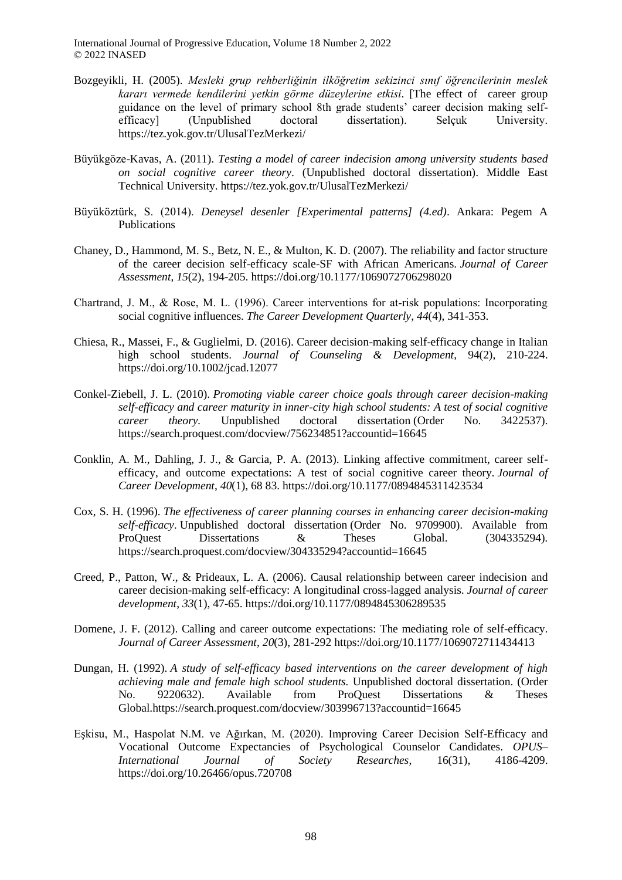- Bozgeyikli, H. (2005). *Mesleki grup rehberliğinin ilköğretim sekizinci sınıf öğrencilerinin meslek kararı vermede kendilerini yetkin görme düzeylerine etkisi*. [The effect of career group guidance on the level of primary school 8th grade students' career decision making selfefficacy] (Unpublished doctoral dissertation). Selçuk University. https://tez.yok.gov.tr/UlusalTezMerkezi/
- Büyükgöze-Kavas, A. (2011). *Testing a model of career indecision among university students based on social cognitive career theory*. (Unpublished doctoral dissertation). Middle East Technical University. https://tez.yok.gov.tr/UlusalTezMerkezi/
- Büyüköztürk, S. (2014). *Deneysel desenler [Experimental patterns] (4.ed)*. Ankara: Pegem A Publications
- Chaney, D., Hammond, M. S., Betz, N. E., & Multon, K. D. (2007). The reliability and factor structure of the career decision self-efficacy scale-SF with African Americans. *Journal of Career Assessment*, *15*(2), 194-205. https://doi.org/10.1177/1069072706298020
- Chartrand, J. M., & Rose, M. L. (1996). Career interventions for at‐risk populations: Incorporating social cognitive influences. *The Career Development Quarterly*, *44*(4), 341-353.
- Chiesa, R., Massei, F., & Guglielmi, D. (2016). Career decision-making self-efficacy change in Italian high school students. *Journal of Counseling & Development*, 94(2), 210-224. https://doi.org/10.1002/jcad.12077
- Conkel-Ziebell, J. L. (2010). *Promoting viable career choice goals through career decision-making self-efficacy and career maturity in inner-city high school students: A test of social cognitive career theory.* Unpublished doctoral dissertation (Order No. 3422537). https://search.proquest.com/docview/756234851?accountid=16645
- Conklin, A. M., Dahling, J. J., & Garcia, P. A. (2013). Linking affective commitment, career selfefficacy, and outcome expectations: A test of social cognitive career theory. *Journal of Career Development*, *40*(1), 68 83. https://doi.org/10.1177/0894845311423534
- Cox, S. H. (1996). *The effectiveness of career planning courses in enhancing career decision-making self-efficacy*. Unpublished doctoral dissertation (Order No. 9709900). Available from ProQuest Dissertations & Theses Global. (304335294). https://search.proquest.com/docview/304335294?accountid=16645
- Creed, P., Patton, W., & Prideaux, L. A. (2006). Causal relationship between career indecision and career decision-making self-efficacy: A longitudinal cross-lagged analysis. *Journal of career development*, *33*(1), 47-65. https://doi.org/10.1177/0894845306289535
- Domene, J. F. (2012). Calling and career outcome expectations: The mediating role of self-efficacy. *Journal of Career Assessment*, *20*(3), 281-292 https://doi.org/10.1177/1069072711434413
- Dungan, H. (1992). *A study of self-efficacy based interventions on the career development of high achieving male and female high school students.* Unpublished doctoral dissertation. (Order No. 9220632). Available from ProQuest Dissertations & Theses Global.https://search.proquest.com/docview/303996713?accountid=16645
- Eşkisu, M., Haspolat N.M. ve Ağırkan, M. (2020). Improving Career Decision Self-Efficacy and Vocational Outcome Expectancies of Psychological Counselor Candidates. *OPUS– International Journal of Society Researches*, 16(31), 4186-4209. https://doi.org/10.26466/opus.720708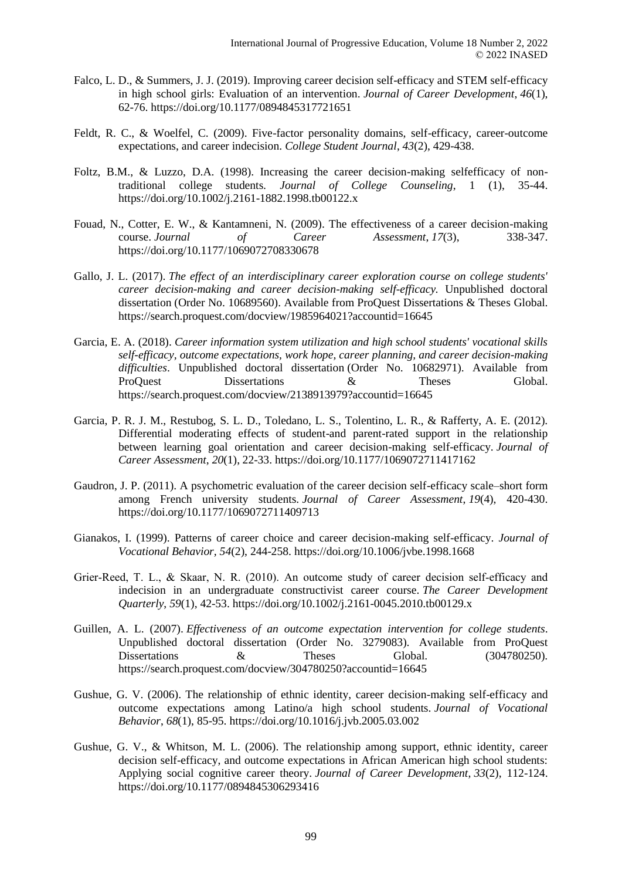- Falco, L. D., & Summers, J. J. (2019). Improving career decision self-efficacy and STEM self-efficacy in high school girls: Evaluation of an intervention. *Journal of Career Development*, *46*(1), 62-76. https://doi.org/10.1177/0894845317721651
- Feldt, R. C., & Woelfel, C. (2009). Five-factor personality domains, self-efficacy, career-outcome expectations, and career indecision. *College Student Journal*, *43*(2), 429-438.
- Foltz, B.M., & Luzzo, D.A. (1998). Increasing the career decision-making selfefficacy of nontraditional college students*. Journal of College Counseling*, 1 (1), 35-44. https://doi.org/10.1002/j.2161-1882.1998.tb00122.x
- Fouad, N., Cotter, E. W., & Kantamneni, N. (2009). The effectiveness of a career decision-making course. *Journal of Career Assessment*, *17*(3), 338-347. https://doi.org/10.1177/1069072708330678
- Gallo, J. L. (2017). *The effect of an interdisciplinary career exploration course on college students' career decision-making and career decision-making self-efficacy.* Unpublished doctoral dissertation (Order No. 10689560). Available from ProQuest Dissertations & Theses Global. https://search.proquest.com/docview/1985964021?accountid=16645
- Garcia, E. A. (2018). *Career information system utilization and high school students' vocational skills self-efficacy, outcome expectations, work hope, career planning, and career decision-making difficulties*. Unpublished doctoral dissertation (Order No. 10682971). Available from ProQuest Dissertations  $\&$  Theses Global. https://search.proquest.com/docview/2138913979?accountid=16645
- Garcia, P. R. J. M., Restubog, S. L. D., Toledano, L. S., Tolentino, L. R., & Rafferty, A. E. (2012). Differential moderating effects of student-and parent-rated support in the relationship between learning goal orientation and career decision-making self-efficacy. *Journal of Career Assessment*, *20*(1), 22-33. https://doi.org/10.1177/1069072711417162
- Gaudron, J. P. (2011). A psychometric evaluation of the career decision self-efficacy scale–short form among French university students. *Journal of Career Assessment*, *19*(4), 420-430. https://doi.org/10.1177/1069072711409713
- Gianakos, I. (1999). Patterns of career choice and career decision-making self-efficacy. *Journal of Vocational Behavior, 54*(2), 244-258. https://doi.org/10.1006/jvbe.1998.1668
- Grier-Reed, T. L., & Skaar, N. R. (2010). An outcome study of career decision self-efficacy and indecision in an undergraduate constructivist career course. *The Career Development Quarterly*, *59*(1), 42-53. https://doi.org/10.1002/j.2161-0045.2010.tb00129.x
- Guillen, A. L. (2007). *Effectiveness of an outcome expectation intervention for college students*. Unpublished doctoral dissertation (Order No. 3279083). Available from ProQuest Dissertations  $\&$  Theses Global. (304780250). https://search.proquest.com/docview/304780250?accountid=16645
- Gushue, G. V. (2006). The relationship of ethnic identity, career decision-making self-efficacy and outcome expectations among Latino/a high school students. *Journal of Vocational Behavior*, *68*(1), 85-95. https://doi.org/10.1016/j.jvb.2005.03.002
- Gushue, G. V., & Whitson, M. L. (2006). The relationship among support, ethnic identity, career decision self-efficacy, and outcome expectations in African American high school students: Applying social cognitive career theory. *Journal of Career Development*, *33*(2), 112-124. https://doi.org/10.1177/0894845306293416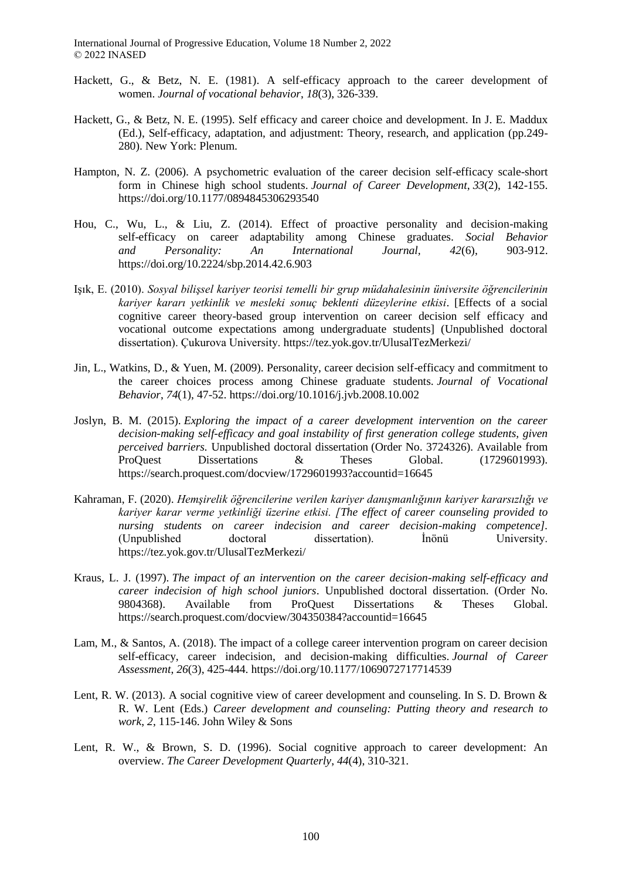- Hackett, G., & Betz, N. E. (1981). A self-efficacy approach to the career development of women. *Journal of vocational behavior*, *18*(3), 326-339.
- Hackett, G., & Betz, N. E. (1995). Self efficacy and career choice and development. In J. E. Maddux (Ed.), Self-efficacy, adaptation, and adjustment: Theory, research, and application (pp.249- 280). New York: Plenum.
- Hampton, N. Z. (2006). A psychometric evaluation of the career decision self-efficacy scale-short form in Chinese high school students. *Journal of Career Development*, *33*(2), 142-155. https://doi.org/10.1177/0894845306293540
- Hou, C., Wu, L., & Liu, Z. (2014). Effect of proactive personality and decision-making self-efficacy on career adaptability among Chinese graduates. *Social Behavior and Personality: An International Journal, 42*(6), 903-912. https://doi.org/10.2224/sbp.2014.42.6.903
- Işık, E. (2010). *Sosyal bilişsel kariyer teorisi temelli bir grup müdahalesinin üniversite öğrencilerinin kariyer kararı yetkinlik ve mesleki sonuç beklenti düzeylerine etkisi*. [Effects of a social cognitive career theory-based group intervention on career decision self efficacy and vocational outcome expectations among undergraduate students] (Unpublished doctoral dissertation). Çukurova University. https://tez.yok.gov.tr/UlusalTezMerkezi/
- Jin, L., Watkins, D., & Yuen, M. (2009). Personality, career decision self-efficacy and commitment to the career choices process among Chinese graduate students. *Journal of Vocational Behavior*, *74*(1), 47-52. https://doi.org/10.1016/j.jvb.2008.10.002
- Joslyn, B. M. (2015). *Exploring the impact of a career development intervention on the career decision-making self-efficacy and goal instability of first generation college students, given perceived barriers.* Unpublished doctoral dissertation (Order No. 3724326). Available from ProQuest Dissertations & Theses Global. (1729601993). https://search.proquest.com/docview/1729601993?accountid=16645
- Kahraman, F. (2020). *Hemşirelik öğrencilerine verilen kariyer danışmanlığının kariyer kararsızlığı ve kariyer karar verme yetkinliği üzerine etkisi. [The effect of career counseling provided to nursing students on career indecision and career decision-making competence].*  (Unpublished doctoral dissertation). İnönü University. https://tez.yok.gov.tr/UlusalTezMerkezi/
- Kraus, L. J. (1997). *The impact of an intervention on the career decision-making self-efficacy and career indecision of high school juniors*. Unpublished doctoral dissertation.(Order No. 9804368). Available from ProQuest Dissertations & Theses Global. https://search.proquest.com/docview/304350384?accountid=16645
- Lam, M., & Santos, A. (2018). The impact of a college career intervention program on career decision self-efficacy, career indecision, and decision-making difficulties. *Journal of Career Assessment*, *26*(3), 425-444. https://doi.org/10.1177/1069072717714539
- Lent, R. W. (2013). A social cognitive view of career development and counseling. In S. D. Brown & R. W. Lent (Eds.) *Career development and counseling: Putting theory and research to work*, *2*, 115-146. John Wiley & Sons
- Lent, R. W., & Brown, S. D. (1996). Social cognitive approach to career development: An overview. *The Career Development Quarterly*, *44*(4), 310-321.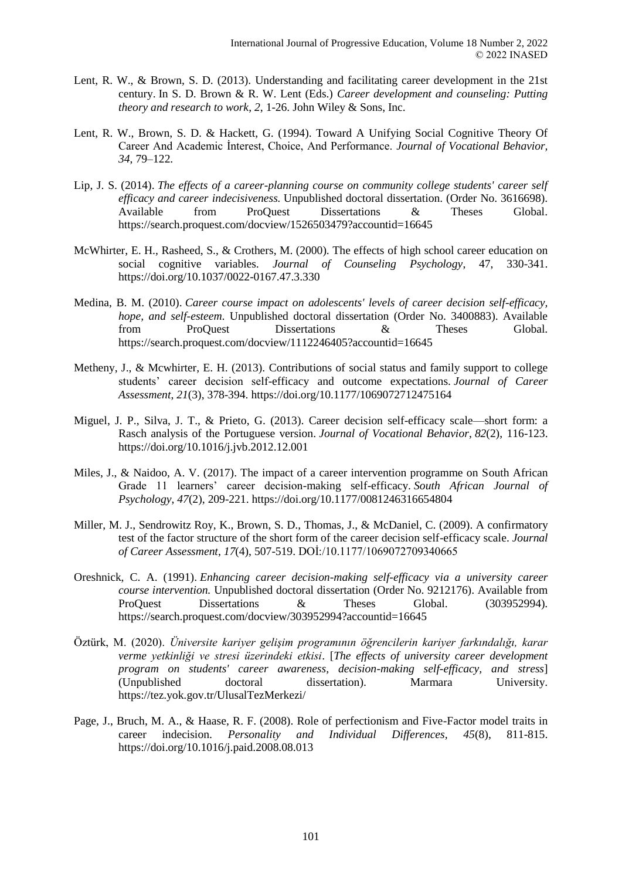- Lent, R. W., & Brown, S. D. (2013). Understanding and facilitating career development in the 21st century. In S. D. Brown & R. W. Lent (Eds.) *Career development and counseling: Putting theory and research to work*, *2*, 1-26. John Wiley & Sons, Inc.
- Lent, R. W., Brown, S. D. & Hackett, G. (1994). Toward A Unifying Social Cognitive Theory Of Career And Academic İnterest, Choice, And Performance. *Journal of Vocational Behavior, 34*, 79–122.
- Lip, J. S. (2014). *The effects of a career-planning course on community college students' career self efficacy and career indecisiveness.* Unpublished doctoral dissertation. (Order No. 3616698). Available from ProQuest Dissertations & Theses Global. https://search.proquest.com/docview/1526503479?accountid=16645
- McWhirter, E. H., Rasheed, S., & Crothers, M. (2000). The effects of high school career education on social cognitive variables*. Journal of Counseling Psychology*, 47, 330-341. https://doi.org/10.1037/0022-0167.47.3.330
- Medina, B. M. (2010). *Career course impact on adolescents' levels of career decision self-efficacy, hope, and self-esteem*. Unpublished doctoral dissertation (Order No. 3400883). Available from ProQuest Dissertations & Theses Global. https://search.proquest.com/docview/1112246405?accountid=16645
- Metheny, J., & Mcwhirter, E. H. (2013). Contributions of social status and family support to college students' career decision self-efficacy and outcome expectations. *Journal of Career Assessment*, *21*(3), 378-394. https://doi.org/10.1177/1069072712475164
- Miguel, J. P., Silva, J. T., & Prieto, G. (2013). Career decision self-efficacy scale—short form: a Rasch analysis of the Portuguese version. *Journal of Vocational Behavior*, *82*(2), 116-123. https://doi.org/10.1016/j.jvb.2012.12.001
- Miles, J., & Naidoo, A. V. (2017). The impact of a career intervention programme on South African Grade 11 learners' career decision-making self-efficacy. *South African Journal of Psychology*, *47*(2), 209-221. https://doi.org/10.1177/0081246316654804
- Miller, M. J., Sendrowitz Roy, K., Brown, S. D., Thomas, J., & McDaniel, C. (2009). A confirmatory test of the factor structure of the short form of the career decision self-efficacy scale. *Journal of Career Assessment*, *17*(4), 507-519. DOİ:/10.1177/1069072709340665
- Oreshnick, C. A. (1991). *Enhancing career decision-making self-efficacy via a university career course intervention.* Unpublished doctoral dissertation (Order No. 9212176). Available from ProQuest Dissertations & Theses Global. (303952994). https://search.proquest.com/docview/303952994?accountid=16645
- Öztürk, M. (2020). *Üniversite kariyer gelişim programının öğrencilerin kariyer farkındalığı, karar verme yetkinliği ve stresi üzerindeki etkisi*. [*The effects of university career development program on students' career awareness, decision-making self-efficacy, and stress*] (Unpublished doctoral dissertation). Marmara University. https://tez.yok.gov.tr/UlusalTezMerkezi/
- Page, J., Bruch, M. A., & Haase, R. F. (2008). Role of perfectionism and Five-Factor model traits in career indecision. *Personality and Individual Differences, 45*(8), 811-815. https://doi.org/10.1016/j.paid.2008.08.013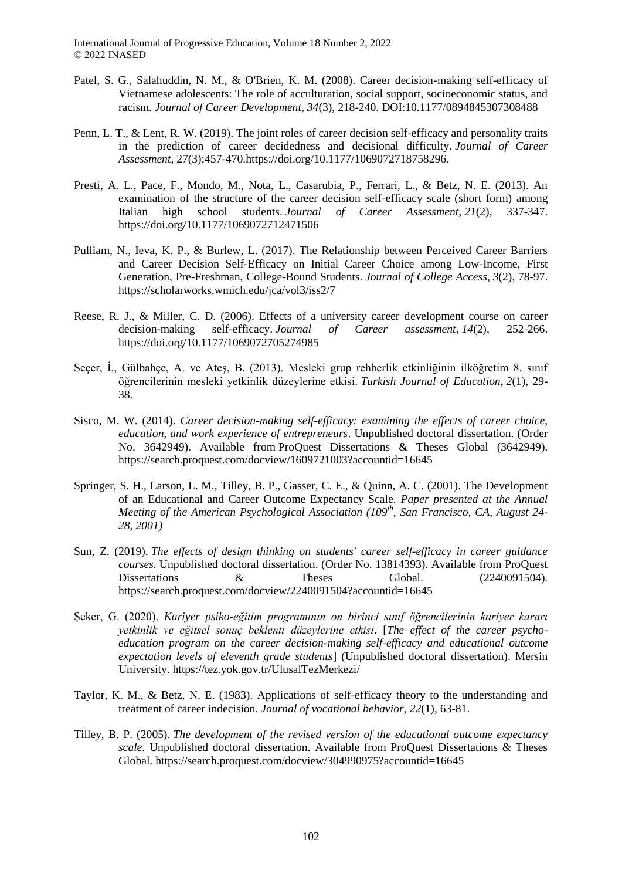- Patel, S. G., Salahuddin, N. M., & O'Brien, K. M. (2008). Career decision-making self-efficacy of Vietnamese adolescents: The role of acculturation, social support, socioeconomic status, and racism. *Journal of Career Development*, *34*(3), 218-240. DOI:10.1177/0894845307308488
- Penn, L. T., & Lent, R. W. (2019). The joint roles of career decision self-efficacy and personality traits in the prediction of career decidedness and decisional difficulty. *Journal of Career Assessment*, 27(3):457-470.https://doi.org/10.1177/1069072718758296.
- Presti, A. L., Pace, F., Mondo, M., Nota, L., Casarubia, P., Ferrari, L., & Betz, N. E. (2013). An examination of the structure of the career decision self-efficacy scale (short form) among Italian high school students. *Journal of Career Assessment*, *21*(2), 337-347. https://doi.org/10.1177/1069072712471506
- Pulliam, N., Ieva, K. P., & Burlew, L. (2017). The Relationship between Perceived Career Barriers and Career Decision Self-Efficacy on Initial Career Choice among Low-Income, First Generation, Pre-Freshman, College-Bound Students. *Journal of College Access*, *3*(2), 78-97. https://scholarworks.wmich.edu/jca/vol3/iss2/7
- Reese, R. J., & Miller, C. D. (2006). Effects of a university career development course on career decision-making self-efficacy. *Journal of Career assessment*, *14*(2), 252-266. https://doi.org/10.1177/1069072705274985
- Seçer, İ., Gülbahçe, A. ve Ateş, B. (2013). Mesleki grup rehberlik etkinliğinin ilköğretim 8. sınıf öğrencilerinin mesleki yetkinlik düzeylerine etkisi. *Turkish Journal of Education*, *2*(1), 29- 38.
- Sisco, M. W. (2014). *Career decision-making self-efficacy: examining the effects of career choice, education, and work experience of entrepreneurs*. Unpublished doctoral dissertation. (Order No. 3642949). Available from ProQuest Dissertations & Theses Global (3642949). https://search.proquest.com/docview/1609721003?accountid=16645
- Springer, S. H., Larson, L. M., Tilley, B. P., Gasser, C. E., & Quinn, A. C. (2001). The Development of an Educational and Career Outcome Expectancy Scale. *Paper presented at the Annual Meeting of the American Psychological Association (109th, San Francisco, CA, August 24- 28, 2001)*
- Sun, Z. (2019). *The effects of design thinking on students' career self-efficacy in career guidance courses.* Unpublished doctoral dissertation. (Order No. 13814393). Available from ProQuest Dissertations  $\&$  Theses Global. (2240091504). https://search.proquest.com/docview/2240091504?accountid=16645
- Şeker, G. (2020). *Kariyer psiko-eğitim programının on birinci sınıf öğrencilerinin kariyer kararı yetkinlik ve eğitsel sonuç beklenti düzeylerine etkisi*. [*The effect of the career psychoeducation program on the career decision-making self-efficacy and educational outcome expectation levels of eleventh grade students*] (Unpublished doctoral dissertation). Mersin University. https://tez.yok.gov.tr/UlusalTezMerkezi/
- Taylor, K. M., & Betz, N. E. (1983). Applications of self-efficacy theory to the understanding and treatment of career indecision. *Journal of vocational behavior*, *22*(1), 63-81.
- Tilley, B. P. (2005). *The development of the revised version of the educational outcome expectancy scale*. Unpublished doctoral dissertation. Available from ProQuest Dissertations & Theses Global. https://search.proquest.com/docview/304990975?accountid=16645